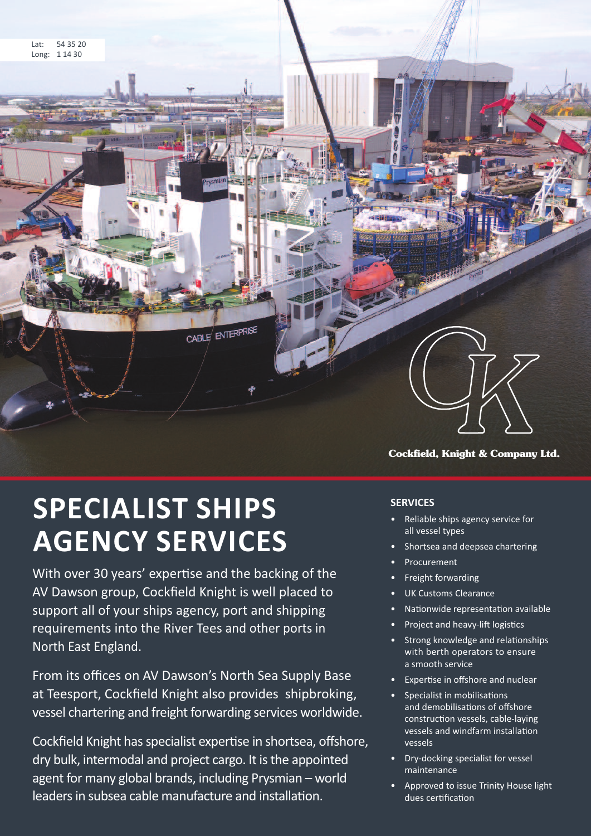

# **SPECIALIST SHIPS AGENCY SERVICES**

With over 30 years' expertise and the backing of the AV Dawson group, Cockfield Knight is well placed to support all of your ships agency, port and shipping requirements into the River Tees and other ports in North East England.

From its offices on AV Dawson's North Sea Supply Base at Teesport, Cockfield Knight also provides shipbroking, vessel chartering and freight forwarding services worldwide.

Cockfield Knight has specialist expertise in shortsea, offshore, dry bulk, intermodal and project cargo. It isthe appointed agent for many global brands, including Prysmian – world leaders in subsea cable manufacture and installation.

# **SERVICES**

- Reliable ships agency service for all vessel types
- Shortsea and deepsea chartering
- **Procurement**
- Freight forwarding
- UK Customs Clearance
- Nationwide representation available
- Project and heavy-lift logistics
- Strong knowledge and relationships with berth operators to ensure a smooth service
- Expertise in offshore and nuclear
- Specialist in mobilisations and demobilisations of offshore construction vessels, cable-laying vessels and windfarm installation vessels
- Dry-docking specialist for vessel maintenance
- Approved to issue Trinity House light dues certification